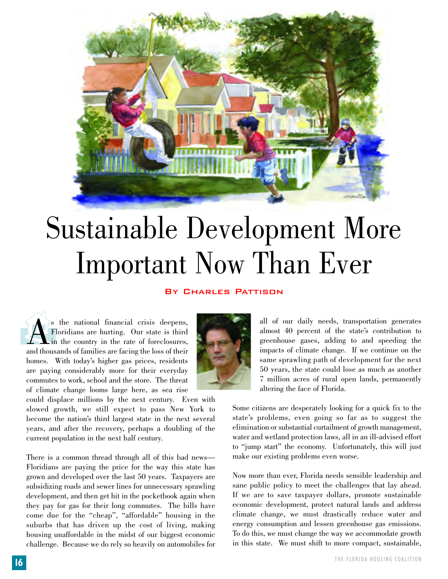

## Sustainable Development More Important Now Than Ever

## By Charles Pattison

<sup>1</sup> S the national financial crisis deepens,<br>Floridians are hurting. Our state is third<br>in the country in the rate of foreclosures,<br>and thousands of families are facing the loss of their Floridians are hurting. Our state is third in the country in the rate of foreclosures, and thousands of families are facing the loss of their homes. With today's higher gas prices, residents are paying considerably more for their everyday commutes to work, school and the store. The threat of climate change looms large here, as sea rise

could displace millions by the next century. Even with slowed growth, we still expect to pass New York to become the nation's third largest state in the next several years, and after the recovery, perhaps a doubling of the current population in the next half century.

There is a common thread through all of this bad news— Floridians are paying the price for the way this state has grown and developed over the last 50 years. Taxpayers are subsidizing roads and sewer lines for unnecessary sprawling development, and then get hit in the pocketbook again when they pay for gas for their long commutes. The bills have come due for the "cheap", "affordable" housing in the suburbs that has driven up the cost of living, making housing unaffordable in the midst of our biggest economic challenge. Because we do rely so heavily on automobiles for



all of our daily needs, transportation generates almost 40 percent of the state's contribution to greenhouse gases, adding to and speeding the impacts of climate change. If we continue on the same sprawling path of development for the next 50 years, the state could lose as much as another 7 million acres of rural open lands, permanently altering the face of Florida.

Some citizens are desperately looking for a quick fix to the state's problems, even going so far as to suggest the elimination or substantial curtailment of growth management, water and wetland protection laws, all in an ill-advised effort to "jump start" the economy. Unfortunately, this will just make our existing problems even worse.

Now more than ever, Florida needs sensible leadership and sane public policy to meet the challenges that lay ahead. If we are to save taxpayer dollars, promote sustainable economic development, protect natural lands and address climate change, we must drastically reduce water and energy consumption and lessen greenhouse gas emissions. To do this, we must change the way we accommodate growth in this state. We must shift to more compact, sustainable,